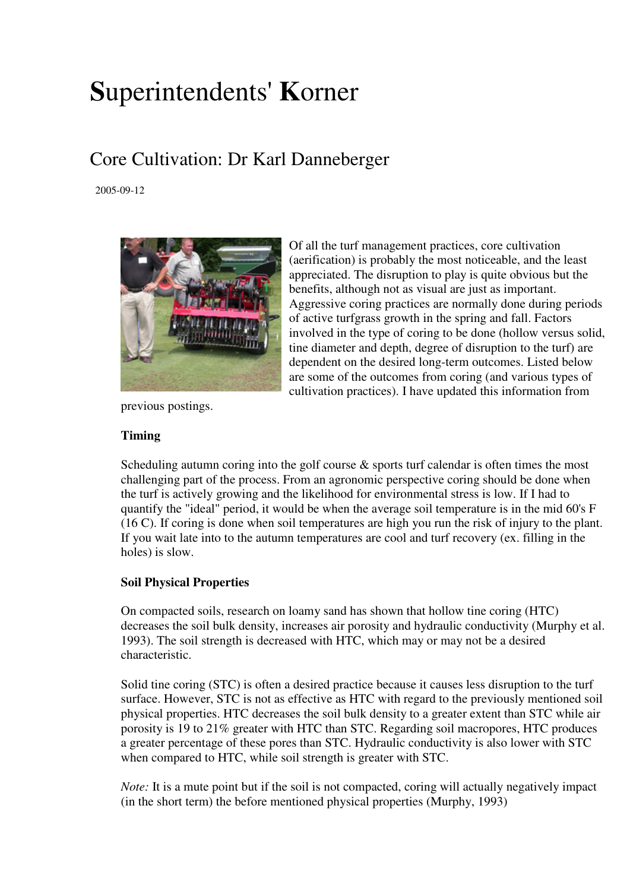# **S**uperintendents' **K**orner

# Core Cultivation: Dr Karl Danneberger

2005-09-12



previous postings.

Of all the turf management practices, core cultivation (aerification) is probably the most noticeable, and the least appreciated. The disruption to play is quite obvious but the benefits, although not as visual are just as important. Aggressive coring practices are normally done during periods of active turfgrass growth in the spring and fall. Factors involved in the type of coring to be done (hollow versus solid, tine diameter and depth, degree of disruption to the turf) are dependent on the desired long-term outcomes. Listed below are some of the outcomes from coring (and various types of cultivation practices). I have updated this information from

## **Timing**

Scheduling autumn coring into the golf course & sports turf calendar is often times the most challenging part of the process. From an agronomic perspective coring should be done when the turf is actively growing and the likelihood for environmental stress is low. If I had to quantify the "ideal" period, it would be when the average soil temperature is in the mid 60's F (16 C). If coring is done when soil temperatures are high you run the risk of injury to the plant. If you wait late into to the autumn temperatures are cool and turf recovery (ex. filling in the holes) is slow.

### **Soil Physical Properties**

On compacted soils, research on loamy sand has shown that hollow tine coring (HTC) decreases the soil bulk density, increases air porosity and hydraulic conductivity (Murphy et al. 1993). The soil strength is decreased with HTC, which may or may not be a desired characteristic.

Solid tine coring (STC) is often a desired practice because it causes less disruption to the turf surface. However, STC is not as effective as HTC with regard to the previously mentioned soil physical properties. HTC decreases the soil bulk density to a greater extent than STC while air porosity is 19 to 21% greater with HTC than STC. Regarding soil macropores, HTC produces a greater percentage of these pores than STC. Hydraulic conductivity is also lower with STC when compared to HTC, while soil strength is greater with STC.

*Note:* It is a mute point but if the soil is not compacted, coring will actually negatively impact (in the short term) the before mentioned physical properties (Murphy, 1993)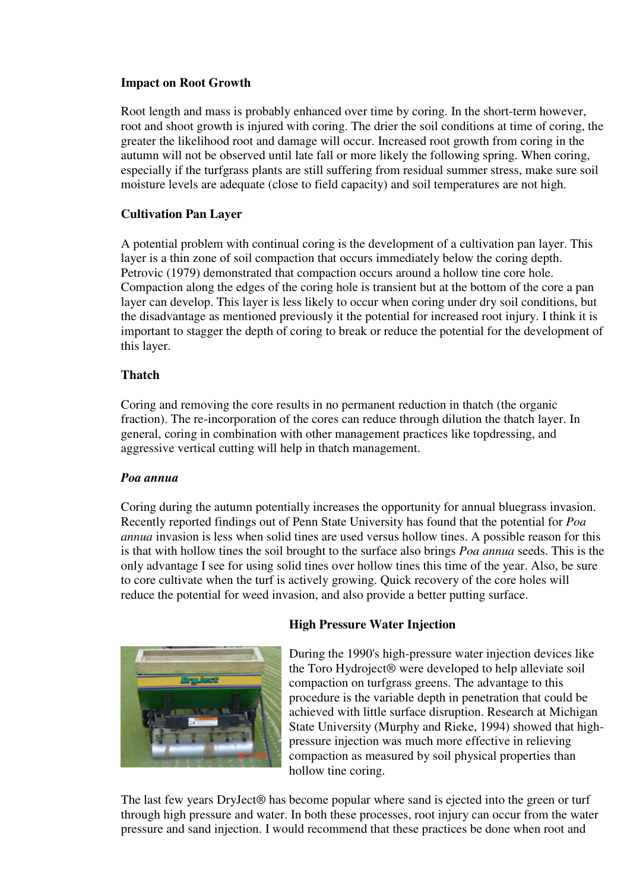### **Impact on Root Growth**

Root length and mass is probably enhanced over time by coring. In the short-term however, root and shoot growth is injured with coring. The drier the soil conditions at time of coring, the greater the likelihood root and damage will occur. Increased root growth from coring in the autumn will not be observed until late fall or more likely the following spring. When coring, especially if the turfgrass plants are still suffering from residual summer stress, make sure soil moisture levels are adequate (close to field capacity) and soil temperatures are not high.

### **Cultivation Pan Layer**

A potential problem with continual coring is the development of a cultivation pan layer. This layer is a thin zone of soil compaction that occurs immediately below the coring depth. Petrovic (1979) demonstrated that compaction occurs around a hollow tine core hole. Compaction along the edges of the coring hole is transient but at the bottom of the core a pan layer can develop. This layer is less likely to occur when coring under dry soil conditions, but the disadvantage as mentioned previously it the potential for increased root injury. I think it is important to stagger the depth of coring to break or reduce the potential for the development of this layer.

### **Thatch**

Coring and removing the core results in no permanent reduction in thatch (the organic fraction). The re-incorporation of the cores can reduce through dilution the thatch layer. In general, coring in combination with other management practices like topdressing, and aggressive vertical cutting will help in thatch management.

#### *Poa annua*

Coring during the autumn potentially increases the opportunity for annual bluegrass invasion. Recently reported findings out of Penn State University has found that the potential for *Poa annua* invasion is less when solid tines are used versus hollow tines. A possible reason for this is that with hollow tines the soil brought to the surface also brings *Poa annua* seeds. This is the only advantage I see for using solid tines over hollow tines this time of the year. Also, be sure to core cultivate when the turf is actively growing. Quick recovery of the core holes will reduce the potential for weed invasion, and also provide a better putting surface.



### **High Pressure Water Injection**

During the 1990's high-pressure water injection devices like the Toro Hydroject® were developed to help alleviate soil compaction on turfgrass greens. The advantage to this procedure is the variable depth in penetration that could be achieved with little surface disruption. Research at Michigan State University (Murphy and Rieke, 1994) showed that highpressure injection was much more effective in relieving compaction as measured by soil physical properties than hollow tine coring.

The last few years DryJect® has become popular where sand is ejected into the green or turf through high pressure and water. In both these processes, root injury can occur from the water pressure and sand injection. I would recommend that these practices be done when root and